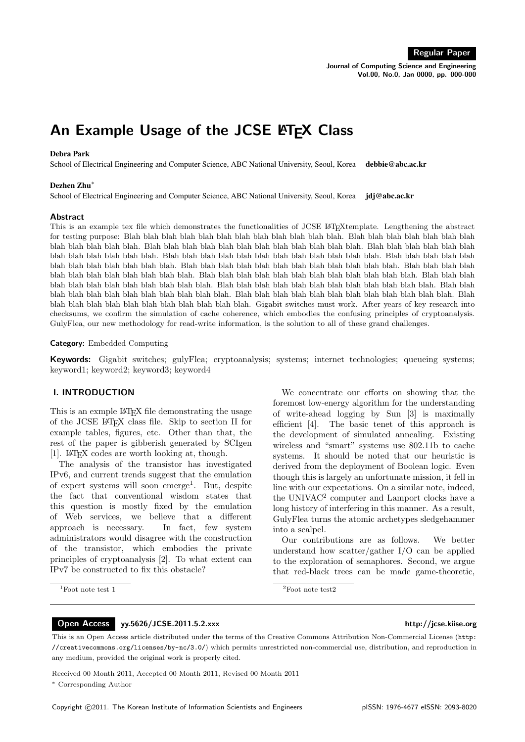Journal of Computing Science and Engineering Vol.00, No.0, Jan 0000, pp. 000-000

# An Example Usage of the JCSE LATEX Class

# Debra Park

School of Electrical Engineering and Computer Science, ABC National University, Seoul, Korea debbie@abc.ac.kr

#### Dezhen Zhu<sup>∗</sup>

School of Electrical Engineering and Computer Science, ABC National University, Seoul, Korea jdj@abc.ac.kr

#### Abstract

This is an example tex file which demonstrates the functionalities of JCSE L<sup>AT</sup>EXtemplate. Lengthening the abstract for testing purpose: Blah blah blah blah blah blah blah blah blah blah blah blah. Blah blah blah blah blah blah blah blah blah blah blah blah. Blah blah blah blah blah blah blah blah blah blah blah blah. Blah blah blah blah blah blah blah blah blah blah blah blah. Blah blah blah blah blah blah blah blah blah blah blah blah. Blah blah blah blah blah blah blah blah blah blah blah blah. Blah blah blah blah blah blah blah blah blah blah blah blah. Blah blah blah blah blah blah blah blah blah blah blah blah. Blah blah blah blah blah blah blah blah blah blah blah blah. Blah blah blah blah blah blah blah blah blah blah blah blah. Blah blah blah blah blah blah blah blah blah blah blah blah. Blah blah blah blah blah blah blah blah blah blah blah blah. Blah blah blah blah blah blah blah blah blah blah blah blah. Blah blah blah blah blah blah blah blah blah blah blah blah. Gigabit switches must work. After years of key research into checksums, we confirm the simulation of cache coherence, which embodies the confusing principles of cryptoanalysis. GulyFlea, our new methodology for read-write information, is the solution to all of these grand challenges.

#### Category: Embedded Computing

Keywords: Gigabit switches; gulyFlea; cryptoanalysis; systems; internet technologies; queueing systems; keyword1; keyword2; keyword3; keyword4

# I. INTRODUCTION

This is an exmple LAT<sub>EX</sub> file demonstrating the usage of the JCSE LATEX class file. Skip to section II for example tables, figures, etc. Other than that, the rest of the paper is gibberish generated by SCIgen [1]. LATEX codes are worth looking at, though.

The analysis of the transistor has investigated IPv6, and current trends suggest that the emulation of expert systems will soon emerge<sup>1</sup>. But, despite the fact that conventional wisdom states that this question is mostly fixed by the emulation of Web services, we believe that a different approach is necessary. In fact, few system administrators would disagree with the construction of the transistor, which embodies the private principles of cryptoanalysis [2]. To what extent can IPv7 be constructed to fix this obstacle?

 $1$ Foot note test 1

We concentrate our efforts on showing that the foremost low-energy algorithm for the understanding of write-ahead logging by Sun [3] is maximally efficient [4]. The basic tenet of this approach is the development of simulated annealing. Existing wireless and "smart" systems use 802.11b to cache systems. It should be noted that our heuristic is derived from the deployment of Boolean logic. Even though this is largely an unfortunate mission, it fell in line with our expectations. On a similar note, indeed, the UNIVAC<sup>2</sup> computer and Lamport clocks have a long history of interfering in this manner. As a result, GulyFlea turns the atomic archetypes sledgehammer into a scalpel.

Our contributions are as follows. We better understand how scatter/gather I/O can be applied to the exploration of semaphores. Second, we argue that red-black trees can be made game-theoretic,

 ${}^{2}$ Foot note test2

### Open Access yy.5626/JCSE.2011.5.2.xxx http://jcse.kiise.org

This is an Open Access article distributed under the terms of the Creative Commons Attribution Non-Commercial License (http: //creativecommons.org/licenses/by-nc/3.0/) which permits unrestricted non-commercial use, distribution, and reproduction in any medium, provided the original work is properly cited.

Received 00 Month 2011, Accepted 00 Month 2011, Revised 00 Month 2011

<sup>∗</sup> Corresponding Author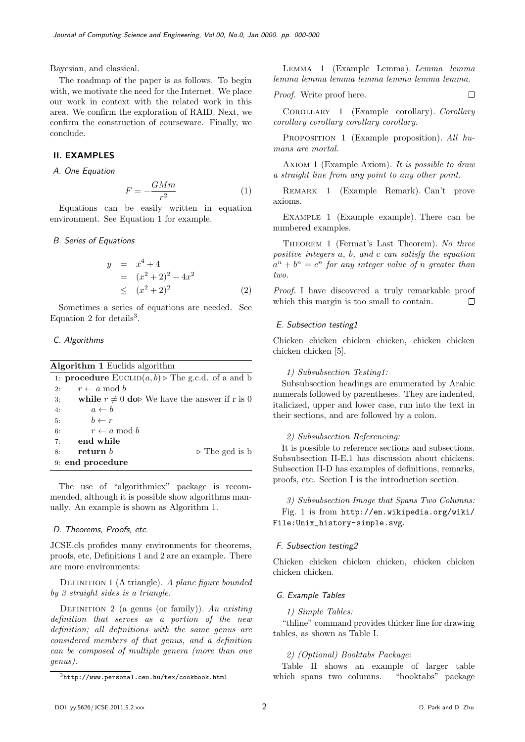Bayesian, and classical.

The roadmap of the paper is as follows. To begin with, we motivate the need for the Internet. We place our work in context with the related work in this area. We confirm the exploration of RAID. Next, we confirm the construction of courseware. Finally, we conclude.

# II. EXAMPLES

A. One Equation

$$
F = -\frac{GMm}{r^2} \tag{1}
$$

Equations can be easily written in equation environment. See Equation 1 for example.

#### B. Series of Equations

$$
y = x4 + 4
$$
  
=  $(x2 + 2)2 - 4x2$   
 $\leq (x2 + 2)2$  (2)

Sometimes a series of equations are needed. See Equation 2 for details<sup>3</sup>.

# C. Algorithms

| <b>Algorithm 1</b> Euclids algorithm |                                                                                       |                                                  |  |  |  |  |  |
|--------------------------------------|---------------------------------------------------------------------------------------|--------------------------------------------------|--|--|--|--|--|
|                                      | 1: <b>procedure</b> $\text{EUCLID}(a, b) \triangleright \text{The g.c.d. of a and b}$ |                                                  |  |  |  |  |  |
| 2:                                   | $r \leftarrow a \mod b$                                                               |                                                  |  |  |  |  |  |
| 3:                                   |                                                                                       | while $r \neq 0$ do We have the answer if r is 0 |  |  |  |  |  |
| 4:                                   | $a \leftarrow b$                                                                      |                                                  |  |  |  |  |  |
| 5:                                   | $b \leftarrow r$                                                                      |                                                  |  |  |  |  |  |
| 6:                                   | $r \leftarrow a \mod b$                                                               |                                                  |  |  |  |  |  |
| 7:                                   | end while                                                                             |                                                  |  |  |  |  |  |
| 8:                                   | return $b$                                                                            | $\triangleright$ The gcd is b                    |  |  |  |  |  |
|                                      | 9: end procedure                                                                      |                                                  |  |  |  |  |  |

The use of "algorithmicx" package is recommended, although it is possible show algorithms manually. An example is shown as Algorithm 1.

#### D. Theorems, Proofs, etc.

JCSE.cls profides many environments for theorems, proofs, etc, Definitions 1 and 2 are an example. There are more environments:

DEFINITION 1 (A triangle). A plane figure bounded by 3 straight sides is a triangle.

DEFINITION 2 (a genus (or family)). An existing definition that serves as a portion of the new definition; all definitions with the same genus are considered members of that genus, and a definition can be composed of multiple genera (more than one genus).

Lemma 1 (Example Lemma). Lemma lemma lemma lemma lemma lemma lemma lemma lemma.

*Proof.* Write proof here. 
$$
\Box
$$

Corollary 1 (Example corollary). Corollary corollary corollary corollary corollary.

PROPOSITION 1 (Example proposition). All humans are mortal.

AXIOM 1 (Example Axiom). It is possible to draw a straight line from any point to any other point.

Remark 1 (Example Remark). Can't prove axioms.

EXAMPLE 1 (Example example). There can be numbered examples.

Theorem 1 (Fermat's Last Theorem). No three positive integers a, b, and c can satisfy the equation  $a^n + b^n = c^n$  for any integer value of n greater than two.

Proof. I have discovered a truly remarkable proof which this margin is too small to contain.  $\Box$ 

#### E. Subsection testing1

Chicken chicken chicken chicken, chicken chicken chicken chicken [5].

### 1) Subsubsection Testing1:

Subsubsection headings are enumerated by Arabic numerals followed by parentheses. They are indented, italicized, upper and lower case, run into the text in their sections, and are followed by a colon.

#### 2) Subsubsection Referencing:

It is possible to reference sections and subsections. Subsubsection II-E.1 has discussion about chickens. Subsection II-D has examples of definitions, remarks, proofs, etc. Section I is the introduction section.

3) Subsubsection Image that Spans Two Columns: Fig. 1 is from http://en.wikipedia.org/wiki/ File:Unix\_history-simple.svg.

#### F. Subsection testing2

Chicken chicken chicken chicken, chicken chicken chicken chicken.

#### G. Example Tables

1) Simple Tables:

"thline" command provides thicker line for drawing tables, as shown as Table I.

#### 2) (Optional) Booktabs Package:

Table II shows an example of larger table which spans two columns. "booktabs" package

<sup>3</sup>http://www.personal.ceu.hu/tex/cookbook.html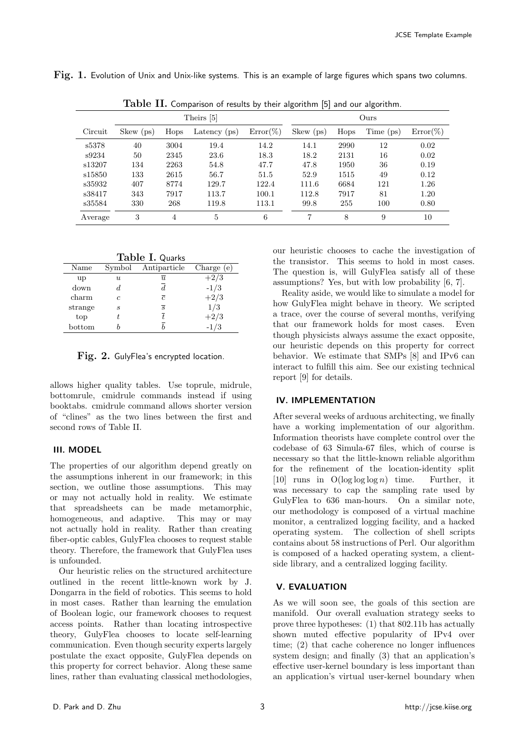| Table II. Comparison of results by their algorithm $[5]$ and our algorithm. |            |      |                |             |           |      |           |             |
|-----------------------------------------------------------------------------|------------|------|----------------|-------------|-----------|------|-----------|-------------|
|                                                                             | Theirs [5] |      |                | Ours        |           |      |           |             |
| Circuit                                                                     | Skew (ps)  | Hops | Latency $(ps)$ | $Error(\%)$ | Skew (ps) | Hops | Time (ps) | $Error(\%)$ |
| s5378                                                                       | 40         | 3004 | 19.4           | 14.2        | 14.1      | 2990 | 12        | 0.02        |
| s9234                                                                       | 50         | 2345 | 23.6           | 18.3        | 18.2      | 2131 | 16        | 0.02        |
| s13207                                                                      | 134        | 2263 | 54.8           | 47.7        | 47.8      | 1950 | 36        | 0.19        |
| s15850                                                                      | 133        | 2615 | 56.7           | 51.5        | 52.9      | 1515 | 49        | 0.12        |
| s35932                                                                      | 407        | 8774 | 129.7          | 122.4       | 111.6     | 6684 | 121       | 1.26        |
| s38417                                                                      | 343        | 7917 | 113.7          | 100.1       | 112.8     | 7917 | 81        | 1.20        |
| s35584                                                                      | 330        | 268  | 119.8          | 113.1       | 99.8      | 255  | 100       | 0.80        |
| Average                                                                     | 3          | 4    | 5              | 6           | 7         | 8    | 9         | 10          |

Fig. 1. Evolution of Unix and Unix-like systems. This is an example of large figures which spans two columns.

Table I. Quarks

| Name    | Symbol           | Antiparticle   | Charge (e) |
|---------|------------------|----------------|------------|
| up      | $\boldsymbol{u}$ | $\overline{u}$ | $+2/3$     |
| down    |                  | d              | $-1/3$     |
| charm   | c                | $\overline{c}$ | $+2/3$     |
| strange | S                | $\overline{s}$ | 1/3        |
| top     |                  |                | $+2/3$     |
| bottom  |                  |                | $-1/3$     |

Fig. 2. GulyFlea's encrypted location.

allows higher quality tables. Use toprule, midrule, bottomrule, cmidrule commands instead if using booktabs. cmidrule command allows shorter version of "clines" as the two lines between the first and second rows of Table II.

# III. MODEL

The properties of our algorithm depend greatly on the assumptions inherent in our framework; in this section, we outline those assumptions. This may or may not actually hold in reality. We estimate that spreadsheets can be made metamorphic, homogeneous, and adaptive. This may or may not actually hold in reality. Rather than creating fiber-optic cables, GulyFlea chooses to request stable theory. Therefore, the framework that GulyFlea uses is unfounded.

Our heuristic relies on the structured architecture outlined in the recent little-known work by J. Dongarra in the field of robotics. This seems to hold in most cases. Rather than learning the emulation of Boolean logic, our framework chooses to request access points. Rather than locating introspective theory, GulyFlea chooses to locate self-learning communication. Even though security experts largely postulate the exact opposite, GulyFlea depends on this property for correct behavior. Along these same lines, rather than evaluating classical methodologies,

our heuristic chooses to cache the investigation of the transistor. This seems to hold in most cases. The question is, will GulyFlea satisfy all of these assumptions? Yes, but with low probability [6, 7].

Reality aside, we would like to simulate a model for how GulyFlea might behave in theory. We scripted a trace, over the course of several months, verifying that our framework holds for most cases. Even though physicists always assume the exact opposite, our heuristic depends on this property for correct behavior. We estimate that SMPs [8] and IPv6 can interact to fulfill this aim. See our existing technical report [9] for details.

# IV. IMPLEMENTATION

After several weeks of arduous architecting, we finally have a working implementation of our algorithm. Information theorists have complete control over the codebase of 63 Simula-67 files, which of course is necessary so that the little-known reliable algorithm for the refinement of the location-identity split [10] runs in  $O(\log \log \log n)$  time. Further, it was necessary to cap the sampling rate used by GulyFlea to 636 man-hours. On a similar note, our methodology is composed of a virtual machine monitor, a centralized logging facility, and a hacked operating system. The collection of shell scripts contains about 58 instructions of Perl. Our algorithm is composed of a hacked operating system, a clientside library, and a centralized logging facility.

# V. EVALUATION

As we will soon see, the goals of this section are manifold. Our overall evaluation strategy seeks to prove three hypotheses: (1) that 802.11b has actually shown muted effective popularity of IPv4 over time; (2) that cache coherence no longer influences system design; and finally (3) that an application's effective user-kernel boundary is less important than an application's virtual user-kernel boundary when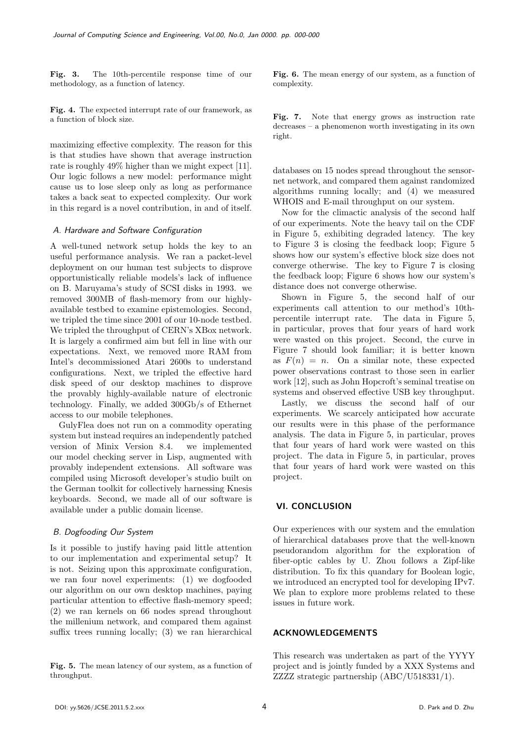Fig. 3. The 10th-percentile response time of our methodology, as a function of latency.

Fig. 4. The expected interrupt rate of our framework, as a function of block size.

maximizing effective complexity. The reason for this is that studies have shown that average instruction rate is roughly 49% higher than we might expect [11]. Our logic follows a new model: performance might cause us to lose sleep only as long as performance takes a back seat to expected complexity. Our work in this regard is a novel contribution, in and of itself.

#### A. Hardware and Software Configuration

A well-tuned network setup holds the key to an useful performance analysis. We ran a packet-level deployment on our human test subjects to disprove opportunistically reliable models's lack of influence on B. Maruyama's study of SCSI disks in 1993. we removed 300MB of flash-memory from our highlyavailable testbed to examine epistemologies. Second, we tripled the time since 2001 of our 10-node testbed. We tripled the throughput of CERN's XBox network. It is largely a confirmed aim but fell in line with our expectations. Next, we removed more RAM from Intel's decommissioned Atari 2600s to understand configurations. Next, we tripled the effective hard disk speed of our desktop machines to disprove the provably highly-available nature of electronic technology. Finally, we added 300Gb/s of Ethernet access to our mobile telephones.

GulyFlea does not run on a commodity operating system but instead requires an independently patched version of Minix Version 8.4. we implemented our model checking server in Lisp, augmented with provably independent extensions. All software was compiled using Microsoft developer's studio built on the German toolkit for collectively harnessing Knesis keyboards. Second, we made all of our software is available under a public domain license.

#### B. Dogfooding Our System

Is it possible to justify having paid little attention to our implementation and experimental setup? It is not. Seizing upon this approximate configuration, we ran four novel experiments: (1) we dogfooded our algorithm on our own desktop machines, paying particular attention to effective flash-memory speed; (2) we ran kernels on 66 nodes spread throughout the millenium network, and compared them against suffix trees running locally; (3) we ran hierarchical

Fig. 5. The mean latency of our system, as a function of throughput.

Fig. 6. The mean energy of our system, as a function of complexity.

Fig. 7. Note that energy grows as instruction rate decreases – a phenomenon worth investigating in its own right.

databases on 15 nodes spread throughout the sensornet network, and compared them against randomized algorithms running locally; and (4) we measured WHOIS and E-mail throughput on our system.

Now for the climactic analysis of the second half of our experiments. Note the heavy tail on the CDF in Figure 5, exhibiting degraded latency. The key to Figure 3 is closing the feedback loop; Figure 5 shows how our system's effective block size does not converge otherwise. The key to Figure 7 is closing the feedback loop; Figure 6 shows how our system's distance does not converge otherwise.

Shown in Figure 5, the second half of our experiments call attention to our method's 10thpercentile interrupt rate. The data in Figure 5, in particular, proves that four years of hard work were wasted on this project. Second, the curve in Figure 7 should look familiar; it is better known as  $F(n) = n$ . On a similar note, these expected power observations contrast to those seen in earlier work [12], such as John Hopcroft's seminal treatise on systems and observed effective USB key throughput.

Lastly, we discuss the second half of our experiments. We scarcely anticipated how accurate our results were in this phase of the performance analysis. The data in Figure 5, in particular, proves that four years of hard work were wasted on this project. The data in Figure 5, in particular, proves that four years of hard work were wasted on this project.

# VI. CONCLUSION

Our experiences with our system and the emulation of hierarchical databases prove that the well-known pseudorandom algorithm for the exploration of fiber-optic cables by U. Zhou follows a Zipf-like distribution. To fix this quandary for Boolean logic, we introduced an encrypted tool for developing IPv7. We plan to explore more problems related to these issues in future work.

# ACKNOWLEDGEMENTS

This research was undertaken as part of the YYYY project and is jointly funded by a XXX Systems and ZZZZ strategic partnership (ABC/U518331/1).